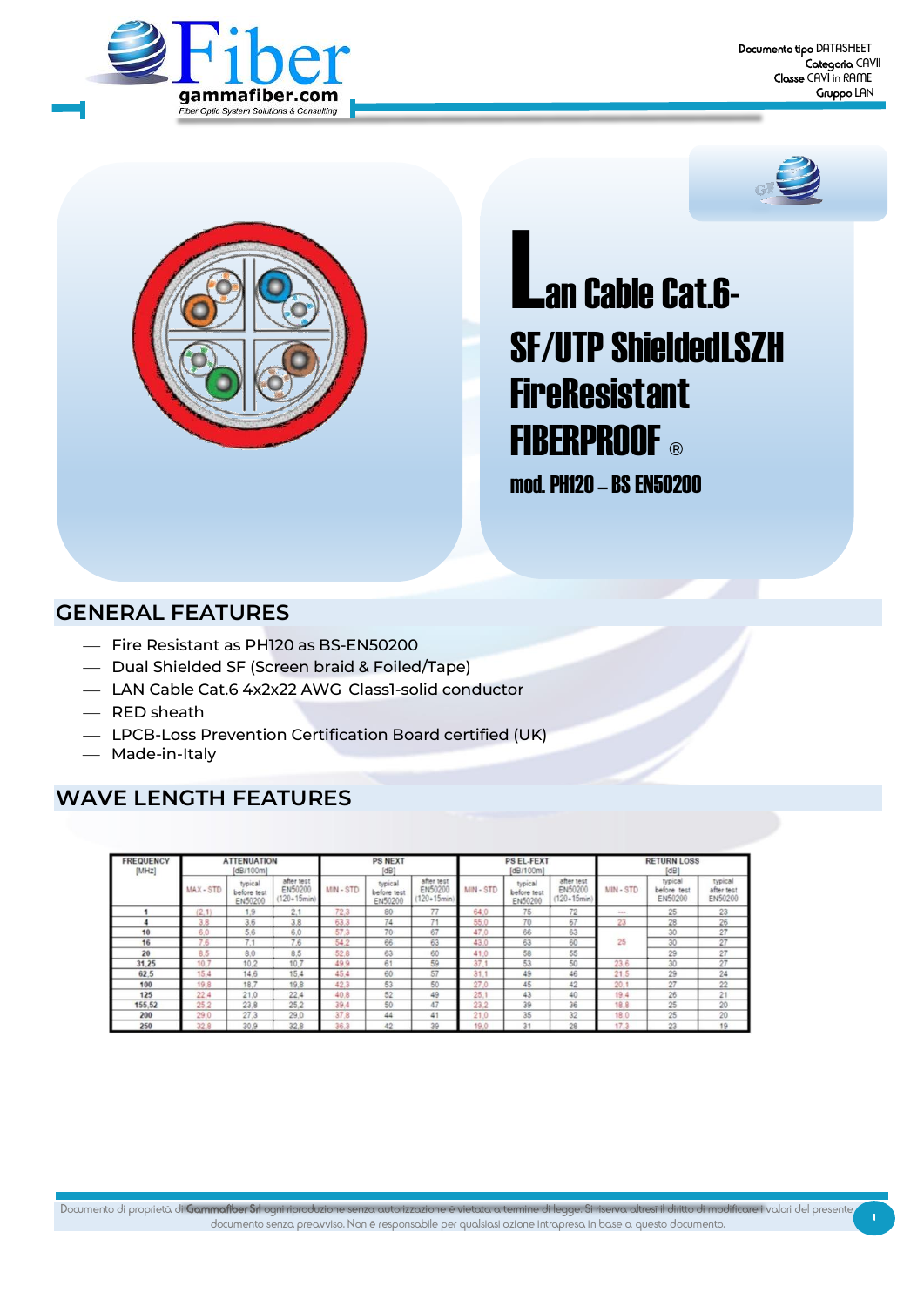





Lan Cable Cat.6-SF/UTP ShieldedLSZH FireResistant FIBERPROOF ®

mod. PH120–BSEN50200

## **GENERAL FEATURES**

- ⎯ Fire Resistant as PH120 as BS-EN50200
- Dual Shielded SF (Screen braid & Foiled/Tape)
- ⎯ LAN Cable Cat.6 4x2x22 AWG Class1-solid conductor
- ⎯ RED sheath
- ⎯ LPCB-Loss Prevention Certification Board certified (UK)
- Made-in-Italy

# **WAVE LENGTH FEATURES**

| <b>FREQUENCY</b><br>[MHz] |         | <b>ATTENUATION</b><br>[dB/100m]   |                                          |           | <b>PS NEXT</b><br>[dB]            |                                           |         | <b>PS EL-FEXT</b><br>[dB/100m]    |                                           |         | <b>RETURN LOSS</b><br>[dB]           |                                  |  |
|---------------------------|---------|-----------------------------------|------------------------------------------|-----------|-----------------------------------|-------------------------------------------|---------|-----------------------------------|-------------------------------------------|---------|--------------------------------------|----------------------------------|--|
|                           | MAX-STD | typical<br>before test<br>EN50200 | after test<br>EN50200<br>$(120 - 15min)$ | MIN - STD | typical<br>before test<br>EN50200 | after test<br>EN50200<br>$(120 + 15$ min) | MIN-STD | typical<br>before test<br>EN50200 | after test<br>EN50200<br>$(120 + 15$ min) | MIN-STD | typical<br>before<br>test<br>EN50200 | typical<br>after test<br>EN50200 |  |
|                           | (2.1)   | 1.9                               | 2.1                                      | 72.3      | 80                                | $-$                                       | 64.0    | 75                                | 72                                        | 1.144   | 25                                   | 23                               |  |
|                           | 3.8     | 3.6                               | 3.8                                      | 63.3      | 74                                | 74                                        | 55.0    | 70                                | 67                                        | 23      | 28                                   | 26                               |  |
| 10                        | 6.0     | 5.6                               | 6.0                                      | 57.3      | 70                                | 67                                        | 47.0    | 66                                | 63                                        |         | 30                                   | 27                               |  |
| 16                        | 7,6     | $\rightarrow$<br>Г. 1             | 7,6                                      | 54.2      | 66                                | 63                                        | 43.0    | 63                                | 60                                        | 25      | 30                                   | 27                               |  |
| 20                        | 8.5     | 8.0                               | 8.5                                      | 52.8      | 63                                | 60                                        | 41.0    | 58                                | 55                                        |         | 29                                   | 27                               |  |
| 31.25                     | 10.7    | 10.2                              | 10.7                                     | 49.9      | 61                                | 59                                        | 37.     | 53                                | 50                                        | 23.6    | 30                                   | 27                               |  |
| 62.5                      | 15.4    | 14.6                              | 15.4                                     | 45.4      | 60                                | 57                                        | 31.1    | 49                                | 46                                        | 21.5    | 29                                   | 24                               |  |
| 100                       | 19.8    | 18.7                              | 19.8                                     | 42.3      | 53                                | 50                                        | 27.0    | 45                                | 42                                        | 20.     | 27                                   | 22                               |  |
| 125                       | 22.4    | 21.0                              | 22.4                                     | 40.8      | 52                                | 49                                        | 25.     | 43                                | 40                                        | 19.4    | 26                                   | 21                               |  |
| 155.52                    | 25.2    | 23.8                              | 25.2                                     | 39.4      | 50                                | 47                                        | 23.2    | 39                                | 36                                        | 18.8    | 25                                   | 20                               |  |
| 200                       | 29.0    | 27.3                              | 29.0                                     | 37.8      | 44                                | 41                                        | 21.0    | 35                                | 32                                        | 18.0    | 25                                   | 20                               |  |
| 250                       | 32.8    | 30.9                              | 32.8                                     | 36.3      | 42                                | 39                                        | 19.0    | 31                                | 28                                        | 17.3    | 23                                   | 19                               |  |